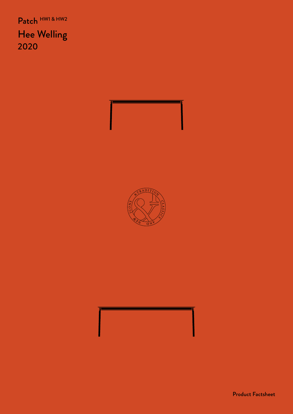Patch HW1 & HW2 Hee Welling 2020

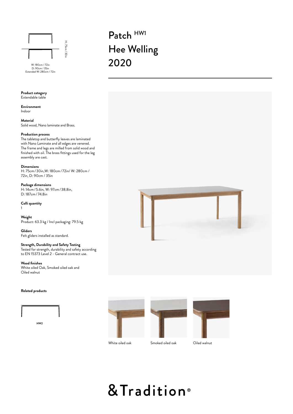

D: 90cm / 35in<br>Extended W: 280cm / 72in

**Product category** Extendable table

**Environment** Indoor

## **Material**

Solid wood, Nano laminate and Brass.

# **Production process**

The tabletop and butterfly leaves are laminated with Nano Laminate and all edges are venered. The frame and legs are milled from solid wood and finished with oil. The brass fittings used for the leg assembly are cast.

#### **Dimensions**

H: 75cm /30in,W: 180cm/ 72in/ W: 280cm / 72in, D: 90cm / 35in

**Package dimensions**  H: 14cm/5.6in, W: 97cm/38.8in, D: 187cm/ 74.8in

**Colli quantity** 1

**Weight** Product: 63.3 kg / Incl packaging: 79.5 kg

**Gliders** Felt gliders installed as standard.

## **Strength, Durability and Safety Testing**

Tested for strength, durability and safety according to EN 15373 Level 2 - General contract use.

**Wood finishes**

White oiled Oak, Smoked oiled oak and Oiled walnut

## **Related products**













White oiled oak Smoked oiled oak Oiled walnut

# & Tradition®